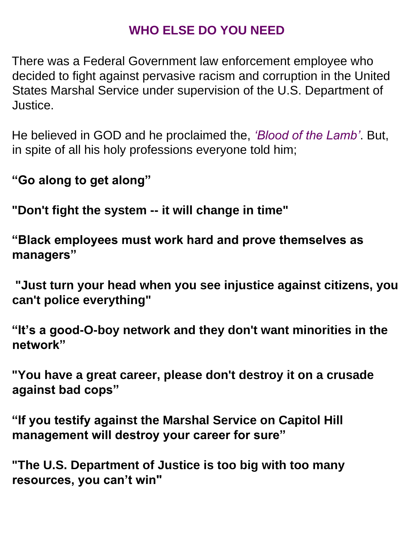## **WHO ELSE DO YOU NEED**

There was a Federal Government law enforcement employee who decided to fight against pervasive racism and corruption in the United States Marshal Service under supervision of the U.S. Department of Justice.

He believed in GOD and he proclaimed the, *'Blood of the Lamb'*. But, in spite of all his holy professions everyone told him;

**"Go along to get along"**

**"Don't fight the system -- it will change in time"** 

**"Black employees must work hard and prove themselves as managers"** 

**"Just turn your head when you see injustice against citizens, you can't police everything"**

**"It's a good-O-boy network and they don't want minorities in the network"**

**"You have a great career, please don't destroy it on a crusade against bad cops"**

**"If you testify against the Marshal Service on Capitol Hill management will destroy your career for sure"** 

**"The U.S. Department of Justice is too big with too many resources, you can't win"**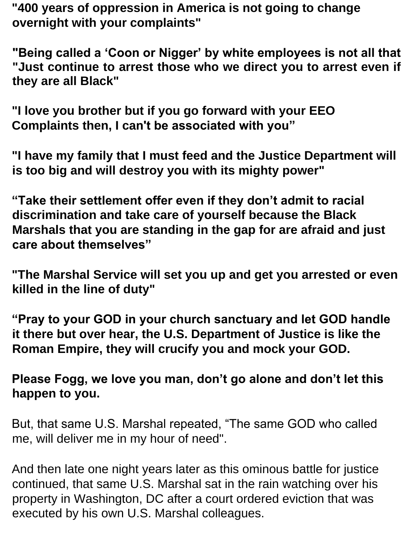**"400 years of oppression in America is not going to change overnight with your complaints"**

**"Being called a 'Coon or Nigger' by white employees is not all that "Just continue to arrest those who we direct you to arrest even if they are all Black"**

**"I love you brother but if you go forward with your EEO Complaints then, I can't be associated with you"**

**"I have my family that I must feed and the Justice Department will is too big and will destroy you with its mighty power"**

**"Take their settlement offer even if they don't admit to racial discrimination and take care of yourself because the Black Marshals that you are standing in the gap for are afraid and just care about themselves"**

**"The Marshal Service will set you up and get you arrested or even killed in the line of duty"**

**"Pray to your GOD in your church sanctuary and let GOD handle it there but over hear, the U.S. Department of Justice is like the Roman Empire, they will crucify you and mock your GOD.** 

**Please Fogg, we love you man, don't go alone and don't let this happen to you.** 

But, that same U.S. Marshal repeated, "The same GOD who called me, will deliver me in my hour of need".

And then late one night years later as this ominous battle for justice continued, that same U.S. Marshal sat in the rain watching over his property in Washington, DC after a court ordered eviction that was executed by his own U.S. Marshal colleagues.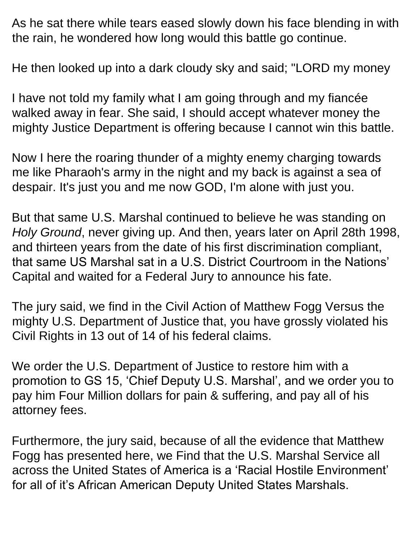As he sat there while tears eased slowly down his face blending in with the rain, he wondered how long would this battle go continue.

He then looked up into a dark cloudy sky and said; "LORD my money

I have not told my family what I am going through and my fiancée walked away in fear. She said, I should accept whatever money the mighty Justice Department is offering because I cannot win this battle.

Now I here the roaring thunder of a mighty enemy charging towards me like Pharaoh's army in the night and my back is against a sea of despair. It's just you and me now GOD, I'm alone with just you.

But that same U.S. Marshal continued to believe he was standing on *Holy Ground*, never giving up. And then, years later on April 28th 1998, and thirteen years from the date of his first discrimination compliant, that same US Marshal sat in a U.S. District Courtroom in the Nations' Capital and waited for a Federal Jury to announce his fate.

The jury said, we find in the Civil Action of Matthew Fogg Versus the mighty U.S. Department of Justice that, you have grossly violated his Civil Rights in 13 out of 14 of his federal claims.

We order the U.S. Department of Justice to restore him with a promotion to GS 15, 'Chief Deputy U.S. Marshal', and we order you to pay him Four Million dollars for pain & suffering, and pay all of his attorney fees.

Furthermore, the jury said, because of all the evidence that Matthew Fogg has presented here, we Find that the U.S. Marshal Service all across the United States of America is a 'Racial Hostile Environment' for all of it's African American Deputy United States Marshals.